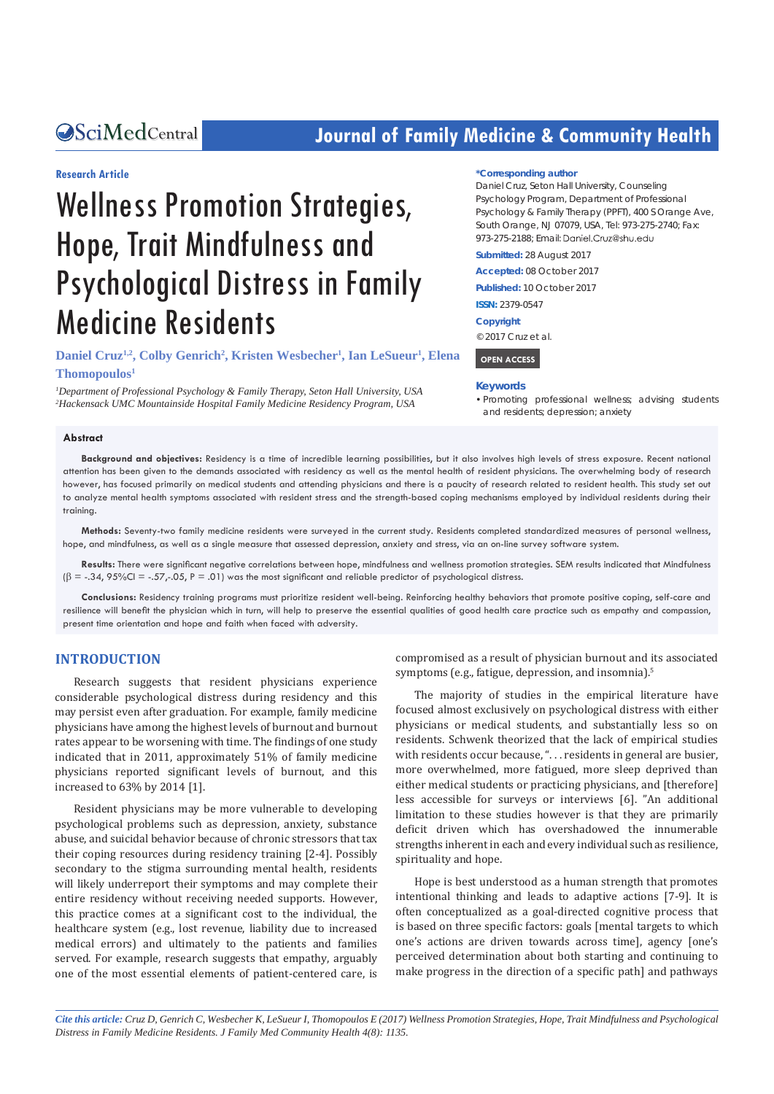# **CALCERT CONFIDENTIAL CONTROLLER COMMUNITY Health**

# **Research Article**

# Wellness Promotion Strategies, Hope, Trait Mindfulness and Psychological Distress in Family Medicine Residents

# **Daniel Cruz<sup>1,2</sup>, Colby Genrich<sup>2</sup>, Kristen Wesbecher<sup>1</sup>, Ian LeSueur<sup>1</sup>, Elena Thomopoulos1**

*1 Department of Professional Psychology & Family Therapy, Seton Hall University, USA 2 Hackensack UMC Mountainside Hospital Family Medicine Residency Program, USA*

#### **\*Corresponding author**

Daniel Cruz, Seton Hall University, Counseling Psychology Program, Department of Professional Psychology & Family Therapy (PPFT), 400 S Orange Ave, South Orange, NJ 07079, USA, Tel: 973-275-2740; Fax: 973-275-2188; Email: Daniel.Cruz@shu.edu

**Submitted:** 28 August 2017

**Accepted:** 08 October 2017

**Published:** 10 October 2017

**ISSN:** 2379-0547

**Copyright**

© 2017 Cruz et al.

#### **OPEN ACCESS**

#### **Keywords**

• Promoting professional wellness: advising students and residents; depression; anxiety

#### **Abstract**

**Background and objectives:** Residency is a time of incredible learning possibilities, but it also involves high levels of stress exposure. Recent national attention has been given to the demands associated with residency as well as the mental health of resident physicians. The overwhelming body of research however, has focused primarily on medical students and attending physicians and there is a paucity of research related to resident health. This study set out to analyze mental health symptoms associated with resident stress and the strength-based coping mechanisms employed by individual residents during their training.

**Methods:** Seventy-two family medicine residents were surveyed in the current study. Residents completed standardized measures of personal wellness, hope, and mindfulness, as well as a single measure that assessed depression, anxiety and stress, via an on-line survey software system.

**Results:** There were significant negative correlations between hope, mindfulness and wellness promotion strategies. SEM results indicated that Mindfulness  $(\beta = -0.34, 95\%$ CI =  $-.57, -0.5$ , P = .01) was the most significant and reliable predictor of psychological distress.

**Conclusions:** Residency training programs must prioritize resident well-being. Reinforcing healthy behaviors that promote positive coping, self-care and resilience will benefit the physician which in turn, will help to preserve the essential qualities of good health care practice such as empathy and compassion, present time orientation and hope and faith when faced with adversity.

### **INTRODUCTION**

Research suggests that resident physicians experience considerable psychological distress during residency and this may persist even after graduation. For example, family medicine physicians have among the highest levels of burnout and burnout rates appear to be worsening with time. The findings of one study indicated that in 2011, approximately 51% of family medicine physicians reported significant levels of burnout, and this increased to 63% by 2014 [1].

Resident physicians may be more vulnerable to developing psychological problems such as depression, anxiety, substance abuse, and suicidal behavior because of chronic stressors that tax their coping resources during residency training [2-4]. Possibly secondary to the stigma surrounding mental health, residents will likely underreport their symptoms and may complete their entire residency without receiving needed supports. However, this practice comes at a significant cost to the individual, the healthcare system (e.g., lost revenue, liability due to increased medical errors) and ultimately to the patients and families served. For example, research suggests that empathy, arguably one of the most essential elements of patient-centered care, is compromised as a result of physician burnout and its associated symptoms (e.g., fatigue, depression, and insomnia).<sup>5</sup>

The majority of studies in the empirical literature have focused almost exclusively on psychological distress with either physicians or medical students, and substantially less so on residents. Schwenk theorized that the lack of empirical studies with residents occur because, ". . . residents in general are busier, more overwhelmed, more fatigued, more sleep deprived than either medical students or practicing physicians, and [therefore] less accessible for surveys or interviews [6]. "An additional limitation to these studies however is that they are primarily deficit driven which has overshadowed the innumerable strengths inherent in each and every individual such as resilience, spirituality and hope.

Hope is best understood as a human strength that promotes intentional thinking and leads to adaptive actions [7-9]. It is often conceptualized as a goal-directed cognitive process that is based on three specific factors: goals [mental targets to which one's actions are driven towards across time], agency [one's perceived determination about both starting and continuing to make progress in the direction of a specific path] and pathways

*Cite this article: Cruz D, Genrich C, Wesbecher K, LeSueur I, Thomopoulos E (2017) Wellness Promotion Strategies, Hope, Trait Mindfulness and Psychological Distress in Family Medicine Residents. J Family Med Community Health 4(8): 1135.*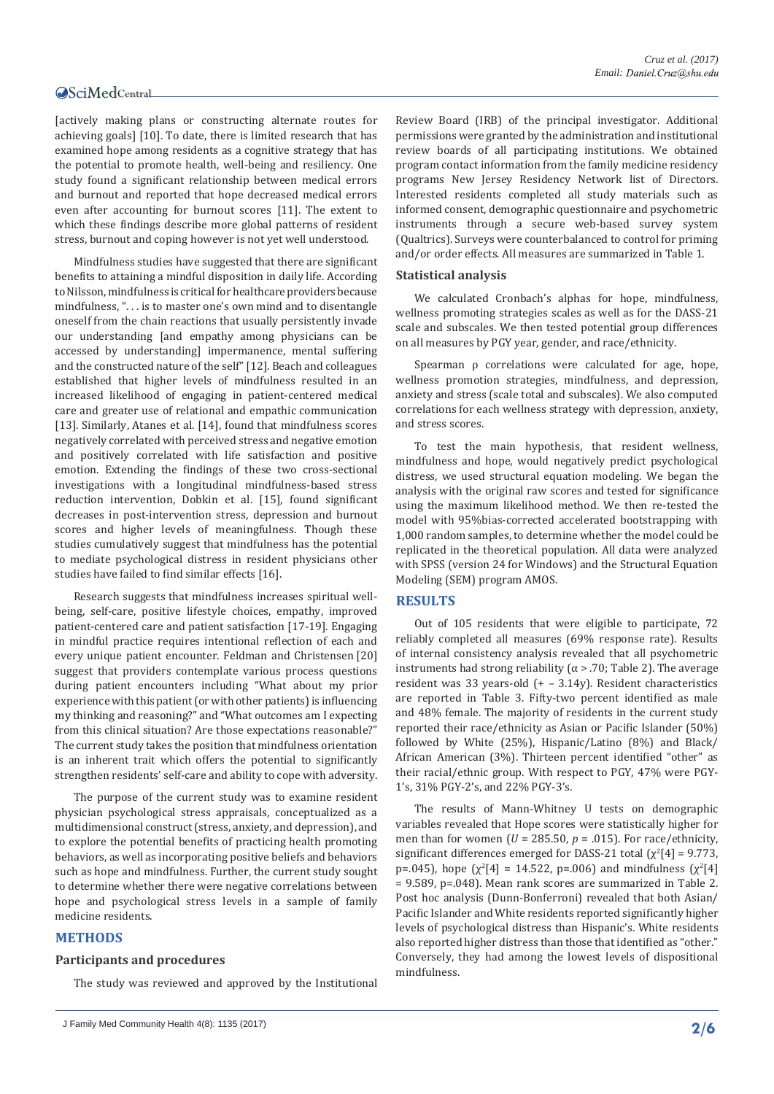[actively making plans or constructing alternate routes for achieving goals] [10]. To date, there is limited research that has examined hope among residents as a cognitive strategy that has the potential to promote health, well-being and resiliency. One study found a significant relationship between medical errors and burnout and reported that hope decreased medical errors even after accounting for burnout scores [11]. The extent to which these findings describe more global patterns of resident stress, burnout and coping however is not yet well understood.

Mindfulness studies have suggested that there are significant benefits to attaining a mindful disposition in daily life. According to Nilsson, mindfulness is critical for healthcare providers because mindfulness, ". . . is to master one's own mind and to disentangle oneself from the chain reactions that usually persistently invade our understanding [and empathy among physicians can be accessed by understanding] impermanence, mental suffering and the constructed nature of the self" [12]. Beach and colleagues established that higher levels of mindfulness resulted in an increased likelihood of engaging in patient-centered medical care and greater use of relational and empathic communication [13]. Similarly, Atanes et al. [14], found that mindfulness scores negatively correlated with perceived stress and negative emotion and positively correlated with life satisfaction and positive emotion. Extending the findings of these two cross-sectional investigations with a longitudinal mindfulness-based stress reduction intervention, Dobkin et al. [15], found significant decreases in post-intervention stress, depression and burnout scores and higher levels of meaningfulness. Though these studies cumulatively suggest that mindfulness has the potential to mediate psychological distress in resident physicians other studies have failed to find similar effects [16].

Research suggests that mindfulness increases spiritual wellbeing, self-care, positive lifestyle choices, empathy, improved patient-centered care and patient satisfaction [17-19]. Engaging in mindful practice requires intentional reflection of each and every unique patient encounter. Feldman and Christensen [20] suggest that providers contemplate various process questions during patient encounters including "What about my prior experience with this patient (or with other patients) is influencing my thinking and reasoning?" and "What outcomes am I expecting from this clinical situation? Are those expectations reasonable?" The current study takes the position that mindfulness orientation is an inherent trait which offers the potential to significantly strengthen residents' self-care and ability to cope with adversity.

The purpose of the current study was to examine resident physician psychological stress appraisals, conceptualized as a multidimensional construct (stress, anxiety, and depression), and to explore the potential benefits of practicing health promoting behaviors, as well as incorporating positive beliefs and behaviors such as hope and mindfulness. Further, the current study sought to determine whether there were negative correlations between hope and psychological stress levels in a sample of family medicine residents.

# **METHODS**

# **Participants and procedures**

The study was reviewed and approved by the Institutional

Review Board (IRB) of the principal investigator. Additional permissions were granted by the administration and institutional review boards of all participating institutions. We obtained program contact information from the family medicine residency programs New Jersey Residency Network list of Directors. Interested residents completed all study materials such as informed consent, demographic questionnaire and psychometric instruments through a secure web-based survey system (Qualtrics). Surveys were counterbalanced to control for priming and/or order effects. All measures are summarized in Table 1.

#### **Statistical analysis**

We calculated Cronbach's alphas for hope, mindfulness, wellness promoting strategies scales as well as for the DASS-21 scale and subscales. We then tested potential group differences on all measures by PGY year, gender, and race/ethnicity.

Spearman ρ correlations were calculated for age, hope, wellness promotion strategies, mindfulness, and depression, anxiety and stress (scale total and subscales). We also computed correlations for each wellness strategy with depression, anxiety, and stress scores.

To test the main hypothesis, that resident wellness, mindfulness and hope, would negatively predict psychological distress, we used structural equation modeling. We began the analysis with the original raw scores and tested for significance using the maximum likelihood method. We then re-tested the model with 95%bias-corrected accelerated bootstrapping with 1,000 random samples, to determine whether the model could be replicated in the theoretical population. All data were analyzed with SPSS (version 24 for Windows) and the Structural Equation Modeling (SEM) program AMOS.

#### **RESULTS**

Out of 105 residents that were eligible to participate, 72 reliably completed all measures (69% response rate). Results of internal consistency analysis revealed that all psychometric instruments had strong reliability ( $\alpha$  > .70; Table 2). The average resident was 33 years-old (+ – 3.14y). Resident characteristics are reported in Table 3. Fifty-two percent identified as male and 48% female. The majority of residents in the current study reported their race/ethnicity as Asian or Pacific Islander (50%) followed by White (25%), Hispanic/Latino (8%) and Black/ African American (3%). Thirteen percent identified "other" as their racial/ethnic group. With respect to PGY, 47% were PGY-1's, 31% PGY-2's, and 22% PGY-3's.

The results of Mann-Whitney U tests on demographic variables revealed that Hope scores were statistically higher for men than for women ( $U = 285.50$ ,  $p = .015$ ). For race/ethnicity, significant differences emerged for DASS-21 total  $(\chi^2[4] = 9.773)$ , p=.045), hope  $\left[\chi^2[4] = 14.522, p=0.06\right]$  and mindfulness  $\left[\chi^2[4]\right]$ = 9.589, p=.048). Mean rank scores are summarized in Table 2. Post hoc analysis (Dunn-Bonferroni) revealed that both Asian/ Pacific Islander and White residents reported significantly higher levels of psychological distress than Hispanic's. White residents also reported higher distress than those that identified as "other." Conversely, they had among the lowest levels of dispositional mindfulness.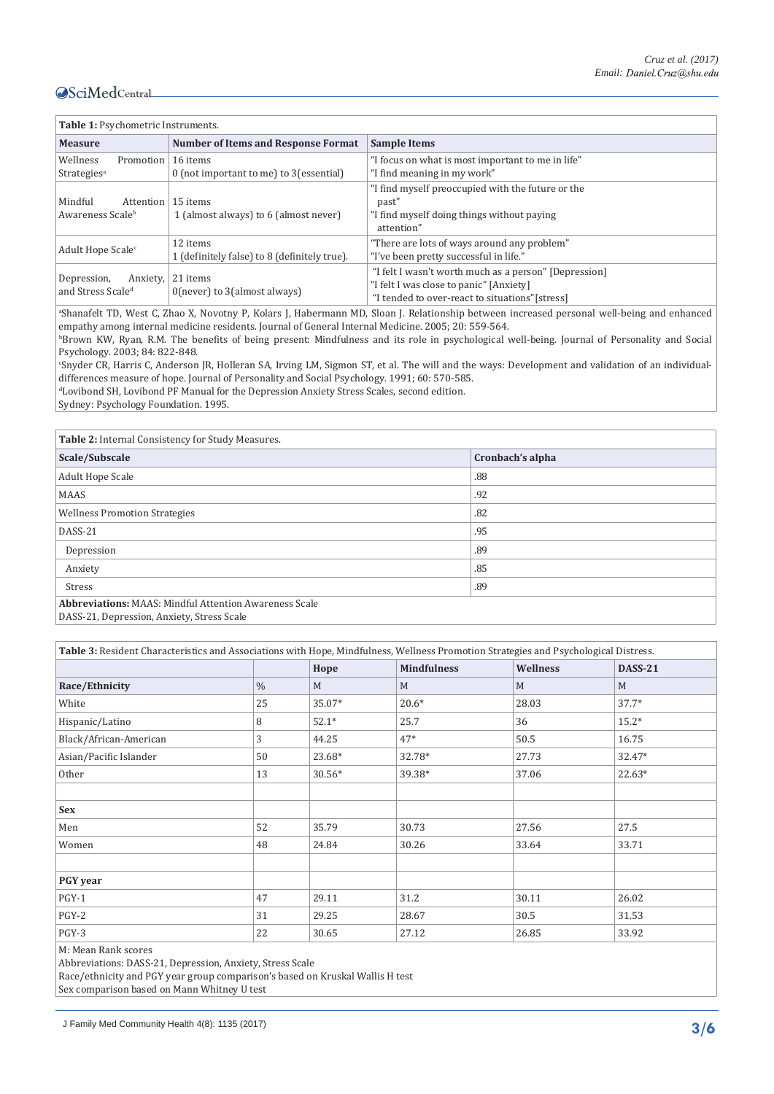| Table 1: Psychometric Instruments.                       |                                                          |                                                                                                                                                     |  |  |  |
|----------------------------------------------------------|----------------------------------------------------------|-----------------------------------------------------------------------------------------------------------------------------------------------------|--|--|--|
| <b>Measure</b>                                           | <b>Number of Items and Response Format</b>               | <b>Sample Items</b>                                                                                                                                 |  |  |  |
| Wellness<br>Promotion<br>Strategies <sup>a</sup>         | 16 items<br>0 (not important to me) to 3 (essential)     | "I focus on what is most important to me in life"<br>"I find meaning in my work"                                                                    |  |  |  |
| Mindful<br>Attention<br>Awareness Scale <sup>b</sup>     | 15 items<br>1 (almost always) to 6 (almost never)        | "I find myself preoccupied with the future or the<br>past"<br>"I find myself doing things without paying<br>attention"                              |  |  |  |
| Adult Hope Scale <sup>c</sup>                            | 12 items<br>1 (definitely false) to 8 (definitely true). | "There are lots of ways around any problem"<br>"I've been pretty successful in life."                                                               |  |  |  |
| Depression,<br>Anxiety,<br>and Stress Scale <sup>d</sup> | 21 items<br>$0$ (never) to $3$ (almost always)           | "I felt I wasn't worth much as a person" [Depression]<br>"I felt I was close to panic" [Anxiety]<br>"I tended to over-react to situations" [stress] |  |  |  |

a Shanafelt TD, West C, Zhao X, Novotny P, Kolars J, Habermann MD, Sloan J. Relationship between increased personal well-being and enhanced empathy among internal medicine residents. Journal of General Internal Medicine. 2005; 20: 559-564.

b Brown KW, Ryan, R.M. The benefits of being present: Mindfulness and its role in psychological well-being. Journal of Personality and Social Psychology. 2003; 84: 822-848.

c Snyder CR, Harris C, Anderson JR, Holleran SA, Irving LM, Sigmon ST, et al. The will and the ways: Development and validation of an individualdifferences measure of hope. Journal of Personality and Social Psychology. 1991; 60: 570-585.

d Lovibond SH, Lovibond PF Manual for the Depression Anxiety Stress Scales, second edition.

Sydney: Psychology Foundation. 1995.

| Table 2: Internal Consistency for Study Measures.             |                  |  |  |
|---------------------------------------------------------------|------------------|--|--|
| Scale/Subscale                                                | Cronbach's alpha |  |  |
| Adult Hope Scale                                              | .88              |  |  |
| <b>MAAS</b>                                                   | .92              |  |  |
| <b>Wellness Promotion Strategies</b>                          | .82              |  |  |
| DASS-21                                                       | .95              |  |  |
| Depression                                                    | .89              |  |  |
| Anxiety                                                       | .85              |  |  |
| <b>Stress</b>                                                 | .89              |  |  |
| <b>Abbreviations: MAAS: Mindful Attention Awareness Scale</b> |                  |  |  |

DASS-21, Depression, Anxiety, Stress Scale

| Table 3: Resident Characteristics and Associations with Hope, Mindfulness, Wellness Promotion Strategies and Psychological Distress. |               |         |                    |          |                |
|--------------------------------------------------------------------------------------------------------------------------------------|---------------|---------|--------------------|----------|----------------|
|                                                                                                                                      |               | Hope    | <b>Mindfulness</b> | Wellness | <b>DASS-21</b> |
| Race/Ethnicity                                                                                                                       | $\frac{0}{0}$ | M       | M                  | M        | M              |
| White                                                                                                                                | 25            | 35.07*  | $20.6*$            | 28.03    | $37.7*$        |
| Hispanic/Latino                                                                                                                      | 8             | $52.1*$ | 25.7               | 36       | $15.2*$        |
| Black/African-American                                                                                                               | 3             | 44.25   | $47*$              | 50.5     | 16.75          |
| Asian/Pacific Islander                                                                                                               | 50            | 23.68*  | 32.78*             | 27.73    | 32.47*         |
| Other                                                                                                                                | 13            | 30.56*  | 39.38*             | 37.06    | $22.63*$       |
|                                                                                                                                      |               |         |                    |          |                |
| <b>Sex</b>                                                                                                                           |               |         |                    |          |                |
| Men                                                                                                                                  | 52            | 35.79   | 30.73              | 27.56    | 27.5           |
| Women                                                                                                                                | 48            | 24.84   | 30.26              | 33.64    | 33.71          |
|                                                                                                                                      |               |         |                    |          |                |
| PGY year                                                                                                                             |               |         |                    |          |                |
| $PGY-1$                                                                                                                              | 47            | 29.11   | 31.2               | 30.11    | 26.02          |
| PGY-2                                                                                                                                | 31            | 29.25   | 28.67              | 30.5     | 31.53          |
| PGY-3                                                                                                                                | 22            | 30.65   | 27.12              | 26.85    | 33.92          |
|                                                                                                                                      |               |         |                    |          |                |

M: Mean Rank scores

Abbreviations: DASS-21, Depression, Anxiety, Stress Scale

Race/ethnicity and PGY year group comparison's based on Kruskal Wallis H test

Sex comparison based on Mann Whitney U test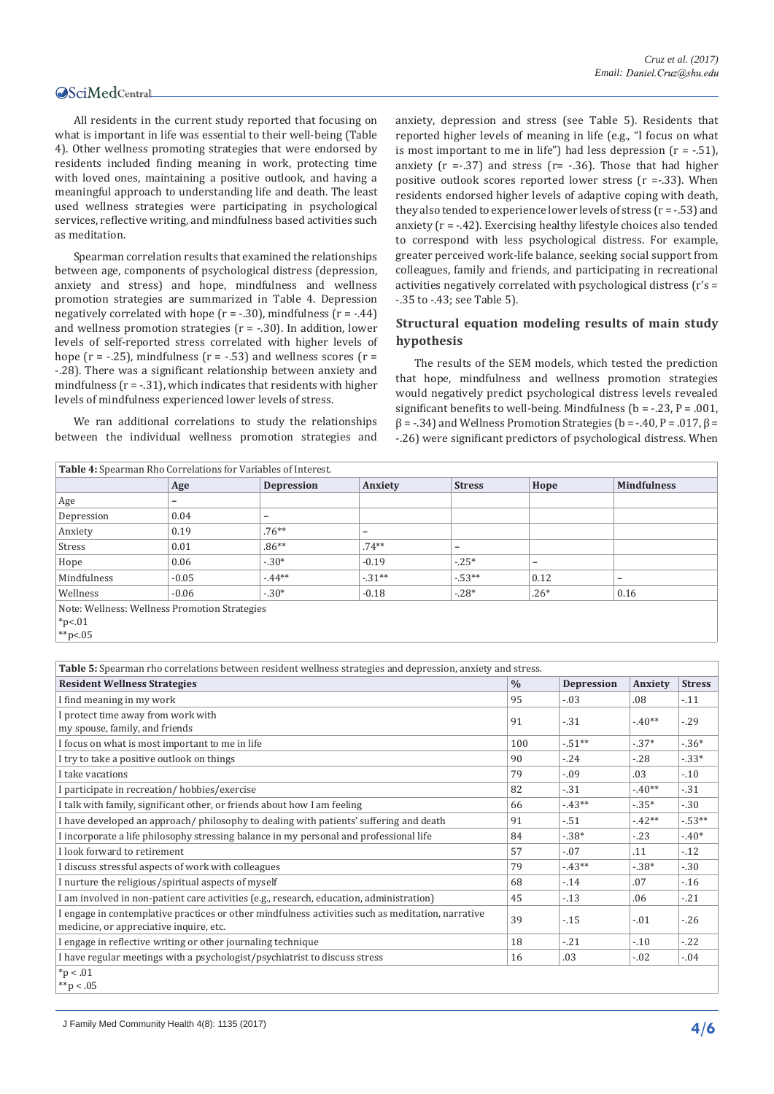\*\*p<.05

All residents in the current study reported that focusing on what is important in life was essential to their well-being (Table 4). Other wellness promoting strategies that were endorsed by residents included finding meaning in work, protecting time with loved ones, maintaining a positive outlook, and having a meaningful approach to understanding life and death. The least used wellness strategies were participating in psychological services, reflective writing, and mindfulness based activities such as meditation.

Spearman correlation results that examined the relationships between age, components of psychological distress (depression, anxiety and stress) and hope, mindfulness and wellness promotion strategies are summarized in Table 4. Depression negatively correlated with hope  $(r = -.30)$ , mindfulness  $(r = -.44)$ and wellness promotion strategies  $(r = -30)$ . In addition, lower levels of self-reported stress correlated with higher levels of hope ( $r = -0.25$ ), mindfulness ( $r = -0.53$ ) and wellness scores ( $r =$ -.28). There was a significant relationship between anxiety and mindfulness  $(r = -0.31)$ , which indicates that residents with higher levels of mindfulness experienced lower levels of stress.

We ran additional correlations to study the relationships between the individual wellness promotion strategies and anxiety, depression and stress (see Table 5). Residents that reported higher levels of meaning in life (e.g., "I focus on what is most important to me in life") had less depression  $(r = -.51)$ , anxiety  $(r = .37)$  and stress  $(r = .36)$ . Those that had higher positive outlook scores reported lower stress (r =-.33). When residents endorsed higher levels of adaptive coping with death, they also tended to experience lower levels of stress  $(r = -0.53)$  and anxiety (r = -.42). Exercising healthy lifestyle choices also tended to correspond with less psychological distress. For example, greater perceived work-life balance, seeking social support from colleagues, family and friends, and participating in recreational activities negatively correlated with psychological distress (r's = -.35 to -.43; see Table 5).

# **Structural equation modeling results of main study hypothesis**

The results of the SEM models, which tested the prediction that hope, mindfulness and wellness promotion strategies would negatively predict psychological distress levels revealed significant benefits to well-being. Mindfulness  $(b = -0.23, P = 0.001, P = 0.001, P = 0.001, P = 0.001, P = 0.001, P = 0.001, P = 0.001, P = 0.001, P = 0.001, P = 0.001, P = 0.001, P = 0.001, P = 0.001, P = 0.001, P = 0.001, P = 0.001, P = 0.001, P = 0.001, P =$  $\beta$  = -.34) and Wellness Promotion Strategies (b = -.40, P = .017,  $\beta$  = -.26) were significant predictors of psychological distress. When

| Table 4: Spearman Rho Correlations for Variables of Interest. |                          |                          |          |               |        |                          |
|---------------------------------------------------------------|--------------------------|--------------------------|----------|---------------|--------|--------------------------|
|                                                               | Age                      | <b>Depression</b>        | Anxiety  | <b>Stress</b> | Hope   | <b>Mindfulness</b>       |
| Age                                                           | $\overline{\phantom{0}}$ |                          |          |               |        |                          |
| Depression                                                    | 0.04                     | $\overline{\phantom{0}}$ |          |               |        |                          |
| Anxiety                                                       | 0.19                     | $.76***$                 | -        |               |        |                          |
| Stress                                                        | 0.01                     | $.86**$                  | $.74***$ | -             |        |                          |
| Hope                                                          | 0.06                     | $-.30*$                  | $-0.19$  | $-.25*$       | -      |                          |
| Mindfulness                                                   | $-0.05$                  | $-44**$                  | $-31**$  | $-53**$       | 0.12   | $\overline{\phantom{0}}$ |
| Wellness                                                      | $-0.06$                  | $-.30*$                  | $-0.18$  | $-28*$        | $.26*$ | 0.16                     |
| Note: Wellness: Wellness Promotion Strategies<br>$*p<.01$     |                          |                          |          |               |        |                          |

| Table 5: Spearman rho correlations between resident wellness strategies and depression, anxiety and stress.                                  |               |                   |         |               |  |  |
|----------------------------------------------------------------------------------------------------------------------------------------------|---------------|-------------------|---------|---------------|--|--|
| <b>Resident Wellness Strategies</b>                                                                                                          | $\frac{0}{0}$ | <b>Depression</b> | Anxiety | <b>Stress</b> |  |  |
| I find meaning in my work                                                                                                                    | 95            | $-.03$            | .08     | $-11$         |  |  |
| I protect time away from work with<br>my spouse, family, and friends                                                                         | 91            | $-31$             | $-40**$ | $-29$         |  |  |
| I focus on what is most important to me in life                                                                                              | 100           | $-51**$           | $-37*$  | $-36*$        |  |  |
| I try to take a positive outlook on things                                                                                                   | 90            | $-.24$            | $-.28$  | $-33*$        |  |  |
| I take vacations                                                                                                                             | 79            | $-.09$            | .03     | $-10$         |  |  |
| I participate in recreation/hobbies/exercise                                                                                                 | 82            | $-31$             | $-40**$ | $-31$         |  |  |
| I talk with family, significant other, or friends about how I am feeling                                                                     | 66            | $-43**$           | $-35*$  | $-30$         |  |  |
| I have developed an approach/philosophy to dealing with patients' suffering and death                                                        | 91            | $-.51$            | $-42**$ | $-53**$       |  |  |
| I incorporate a life philosophy stressing balance in my personal and professional life                                                       | 84            | $-38*$            | $-.23$  | $-40*$        |  |  |
| I look forward to retirement                                                                                                                 | 57            | $-.07$            | .11     | $-12$         |  |  |
| I discuss stressful aspects of work with colleagues                                                                                          | 79            | $-43**$           | $-.38*$ | $-30$         |  |  |
| I nurture the religious/spiritual aspects of myself                                                                                          | 68            | $-14$             | .07     | $-16$         |  |  |
| I am involved in non-patient care activities (e.g., research, education, administration)                                                     | 45            | $-13$             | .06     | $-21$         |  |  |
| I engage in contemplative practices or other mindfulness activities such as meditation, narrative<br>medicine, or appreciative inquire, etc. | 39            | $-15$             | $-.01$  | $-26$         |  |  |
| I engage in reflective writing or other journaling technique                                                                                 | 18            | $-21$             | $-.10$  | $-.22$        |  |  |
| I have regular meetings with a psychologist/psychiatrist to discuss stress                                                                   | 16            | .03               | $-.02$  | $-0.04$       |  |  |
| $*p < .01$<br>**p < .05                                                                                                                      |               |                   |         |               |  |  |

J Family Med Community Health 4(8): 1135 (2017) **4/6**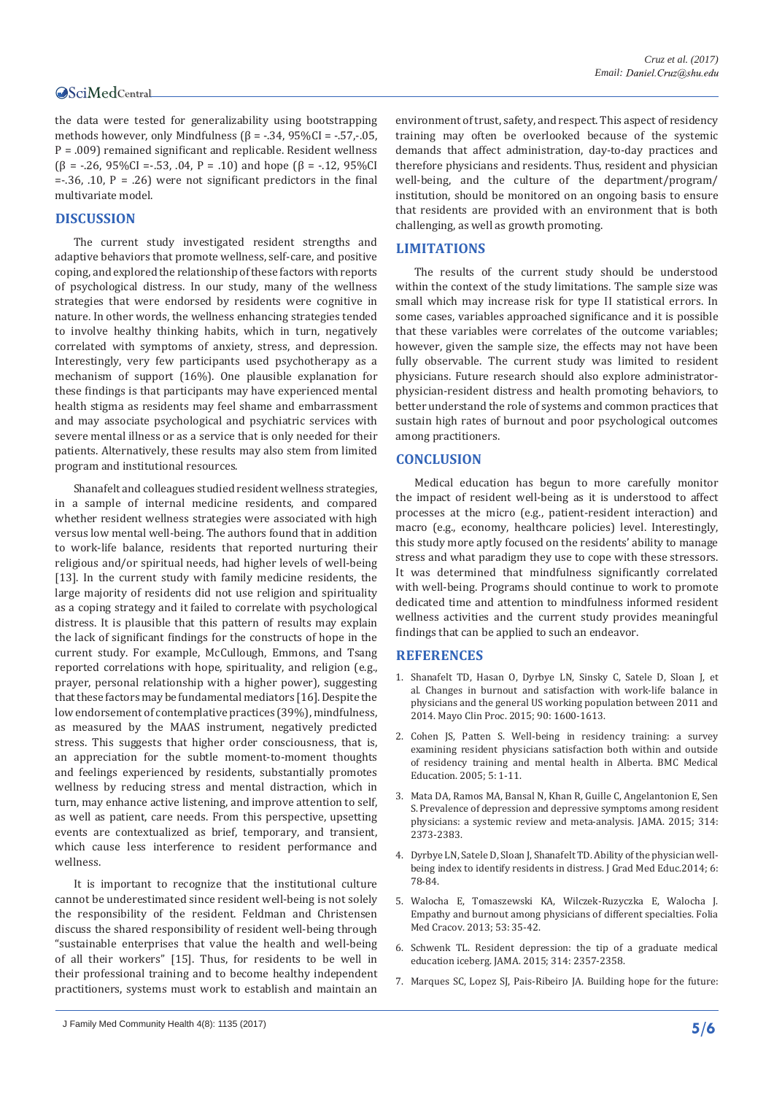the data were tested for generalizability using bootstrapping methods however, only Mindfulness ( $\beta$  = -.34, 95%CI = -.57,-.05, P = .009) remained significant and replicable. Resident wellness ( $\beta$  = -.26, 95%CI =-.53, .04, P = .10) and hope ( $\beta$  = -.12, 95%CI = $-0.36$ , .10, P = .26) were not significant predictors in the final multivariate model.

# **DISCUSSION**

The current study investigated resident strengths and adaptive behaviors that promote wellness, self-care, and positive coping, and explored the relationship of these factors with reports of psychological distress. In our study, many of the wellness strategies that were endorsed by residents were cognitive in nature. In other words, the wellness enhancing strategies tended to involve healthy thinking habits, which in turn, negatively correlated with symptoms of anxiety, stress, and depression. Interestingly, very few participants used psychotherapy as a mechanism of support (16%). One plausible explanation for these findings is that participants may have experienced mental health stigma as residents may feel shame and embarrassment and may associate psychological and psychiatric services with severe mental illness or as a service that is only needed for their patients. Alternatively, these results may also stem from limited program and institutional resources.

Shanafelt and colleagues studied resident wellness strategies, in a sample of internal medicine residents, and compared whether resident wellness strategies were associated with high versus low mental well-being. The authors found that in addition to work-life balance, residents that reported nurturing their religious and/or spiritual needs, had higher levels of well-being [13]. In the current study with family medicine residents, the large majority of residents did not use religion and spirituality as a coping strategy and it failed to correlate with psychological distress. It is plausible that this pattern of results may explain the lack of significant findings for the constructs of hope in the current study. For example, McCullough, Emmons, and Tsang reported correlations with hope, spirituality, and religion (e.g., prayer, personal relationship with a higher power), suggesting that these factors may be fundamental mediators [16]. Despite the low endorsement of contemplative practices (39%), mindfulness, as measured by the MAAS instrument, negatively predicted stress. This suggests that higher order consciousness, that is, an appreciation for the subtle moment-to-moment thoughts and feelings experienced by residents, substantially promotes wellness by reducing stress and mental distraction, which in turn, may enhance active listening, and improve attention to self, as well as patient, care needs. From this perspective, upsetting events are contextualized as brief, temporary, and transient, which cause less interference to resident performance and wellness.

It is important to recognize that the institutional culture cannot be underestimated since resident well-being is not solely the responsibility of the resident. Feldman and Christensen discuss the shared responsibility of resident well-being through "sustainable enterprises that value the health and well-being of all their workers" [15]. Thus, for residents to be well in their professional training and to become healthy independent practitioners, systems must work to establish and maintain an

# **LIMITATIONS**

The results of the current study should be understood within the context of the study limitations. The sample size was small which may increase risk for type II statistical errors. In some cases, variables approached significance and it is possible that these variables were correlates of the outcome variables; however, given the sample size, the effects may not have been fully observable. The current study was limited to resident physicians. Future research should also explore administratorphysician-resident distress and health promoting behaviors, to better understand the role of systems and common practices that sustain high rates of burnout and poor psychological outcomes among practitioners.

# **CONCLUSION**

Medical education has begun to more carefully monitor the impact of resident well-being as it is understood to affect processes at the micro (e.g., patient-resident interaction) and macro (e.g., economy, healthcare policies) level. Interestingly, this study more aptly focused on the residents' ability to manage stress and what paradigm they use to cope with these stressors. It was determined that mindfulness significantly correlated with well-being. Programs should continue to work to promote dedicated time and attention to mindfulness informed resident wellness activities and the current study provides meaningful findings that can be applied to such an endeavor.

# **REFERENCES**

- 1. [Shanafelt TD, Hasan O, Dyrbye LN, Sinsky C, Satele D, Sloan J, et](https://www.ncbi.nlm.nih.gov/pubmed/26653297)  [al. Changes in burnout and satisfaction with work-life balance in](https://www.ncbi.nlm.nih.gov/pubmed/26653297)  [physicians and the general US working population between 2011 and](https://www.ncbi.nlm.nih.gov/pubmed/26653297)  [2014. Mayo Clin Proc. 2015; 90: 1600-1613.](https://www.ncbi.nlm.nih.gov/pubmed/26653297)
- 2. [Cohen JS, Patten S. Well-being in residency training: a survey](https://www.ncbi.nlm.nih.gov/pubmed/15972100)  [examining resident physicians satisfaction both within and outside](https://www.ncbi.nlm.nih.gov/pubmed/15972100)  [of residency training and mental health in Alberta. BMC Medical](https://www.ncbi.nlm.nih.gov/pubmed/15972100)  [Education. 2005; 5: 1-11.](https://www.ncbi.nlm.nih.gov/pubmed/15972100)
- 3. [Mata DA, Ramos MA, Bansal N, Khan R, Guille C, Angelantonion E, Sen](https://www.ncbi.nlm.nih.gov/pubmed/26647259)  [S. Prevalence of depression and depressive symptoms among resident](https://www.ncbi.nlm.nih.gov/pubmed/26647259)  [physicians: a systemic review and meta-analysis. JAMA. 2015; 314:](https://www.ncbi.nlm.nih.gov/pubmed/26647259)  [2373-2383](https://www.ncbi.nlm.nih.gov/pubmed/26647259).
- 4. [Dyrbye LN, Satele D, Sloan J, Shanafelt TD. Ability of the physician well](https://www.ncbi.nlm.nih.gov/pubmed/24701315)[being index to identify residents in distress. J Grad Med Educ.2014; 6:](https://www.ncbi.nlm.nih.gov/pubmed/24701315)  [78-84.](https://www.ncbi.nlm.nih.gov/pubmed/24701315)
- 5. [Walocha E, Tomaszewski KA, Wilczek-Ruzyczka E, Walocha J.](https://www.ncbi.nlm.nih.gov/pubmed/24858455)  [Empathy and burnout among physicians of different specialties. Folia](https://www.ncbi.nlm.nih.gov/pubmed/24858455)  [Med Cracov. 2013; 53: 35-42.](https://www.ncbi.nlm.nih.gov/pubmed/24858455)
- 6. [Schwenk TL. Resident depression: the tip of a graduate medical](https://www.ncbi.nlm.nih.gov/pubmed/26647255)  [education iceberg. JAMA. 2015; 314: 2357-2358.](https://www.ncbi.nlm.nih.gov/pubmed/26647255)
- 7. [Marques SC, Lopez SJ, Pais-Ribeiro JA. Building hope for the future:](https://www.researchgate.net/publication/225956758_Building_Hope_for_the_Future_A_Program_to_Foster_Strengths_in_Middle-School_Students)

environment of trust, safety, and respect. This aspect of residency training may often be overlooked because of the systemic demands that affect administration, day-to-day practices and therefore physicians and residents. Thus, resident and physician well-being, and the culture of the department/program/ institution, should be monitored on an ongoing basis to ensure that residents are provided with an environment that is both challenging, as well as growth promoting.

J Family Med Community Health 4(8): 1135 (2017) **5/6**